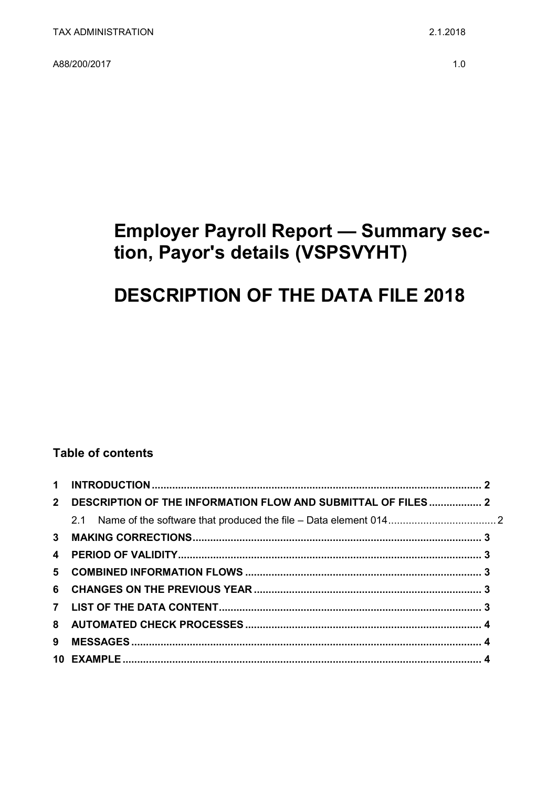A88/200/2017

## **Employer Payroll Report - Summary sec**tion, Payor's details (VSPSVYHT)

# **DESCRIPTION OF THE DATA FILE 2018**

### **Table of contents**

| $2^{\circ}$             | DESCRIPTION OF THE INFORMATION FLOW AND SUBMITTAL OF FILES  2 |  |
|-------------------------|---------------------------------------------------------------|--|
|                         |                                                               |  |
|                         |                                                               |  |
| $\overline{\mathbf{4}}$ |                                                               |  |
|                         |                                                               |  |
|                         |                                                               |  |
|                         |                                                               |  |
|                         |                                                               |  |
| 9                       |                                                               |  |
|                         |                                                               |  |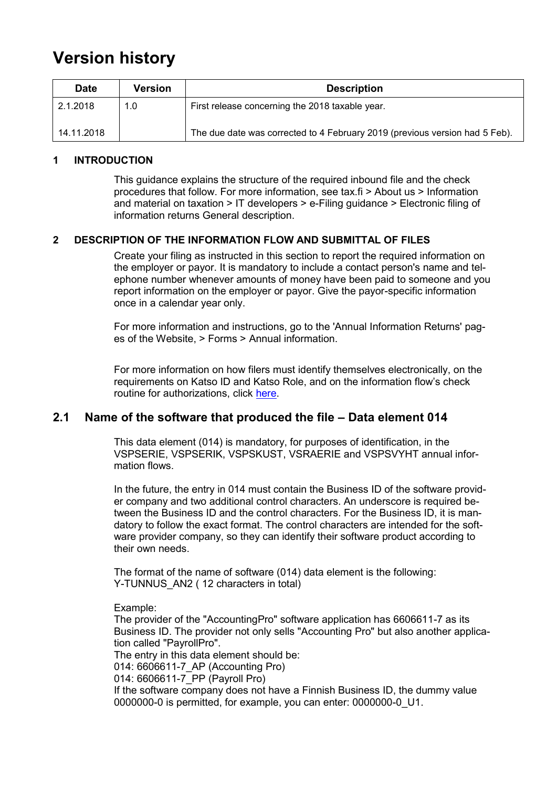## **Version history**

| <b>Date</b> | Version | <b>Description</b>                                                          |
|-------------|---------|-----------------------------------------------------------------------------|
| 2.1.2018    | 1.0     | First release concerning the 2018 taxable year.                             |
| 14.11.2018  |         | The due date was corrected to 4 February 2019 (previous version had 5 Feb). |

#### <span id="page-1-0"></span>**1 INTRODUCTION**

This guidance explains the structure of the required inbound file and the check procedures that follow. For more information, see tax.fi > About us > Information and material on taxation > IT developers > e-Filing guidance > Electronic filing of information returns General description.

#### <span id="page-1-1"></span>**2 DESCRIPTION OF THE INFORMATION FLOW AND SUBMITTAL OF FILES**

Create your filing as instructed in this section to report the required information on the employer or payor. It is mandatory to include a contact person's name and telephone number whenever amounts of money have been paid to someone and you report information on the employer or payor. Give the payor-specific information once in a calendar year only.

For more information and instructions, go to the 'Annual Information Returns' pages of the Website, > Forms > Annual information.

For more information on how filers must identify themselves electronically, on the requirements on Katso ID and Katso Role, and on the information flow's check routine for authorizations, click [here.](https://www.ilmoitin.fi/webtamo/sivut/IlmoituslajiRoolit?kieli=en&tv=VSPSVYHT)

### <span id="page-1-2"></span>**2.1 Name of the software that produced the file – Data element 014**

This data element (014) is mandatory, for purposes of identification, in the VSPSERIE, VSPSERIK, VSPSKUST, VSRAERIE and VSPSVYHT annual information flows.

In the future, the entry in 014 must contain the Business ID of the software provider company and two additional control characters. An underscore is required between the Business ID and the control characters. For the Business ID, it is mandatory to follow the exact format. The control characters are intended for the software provider company, so they can identify their software product according to their own needs.

The format of the name of software (014) data element is the following: Y-TUNNUS AN2 (12 characters in total)

Example:

The provider of the "AccountingPro" software application has 6606611-7 as its Business ID. The provider not only sells "Accounting Pro" but also another application called "PayrollPro".

The entry in this data element should be:

014: 6606611-7\_AP (Accounting Pro)

014: 6606611-7\_PP (Payroll Pro)

If the software company does not have a Finnish Business ID, the dummy value 0000000-0 is permitted, for example, you can enter: 0000000-0\_U1.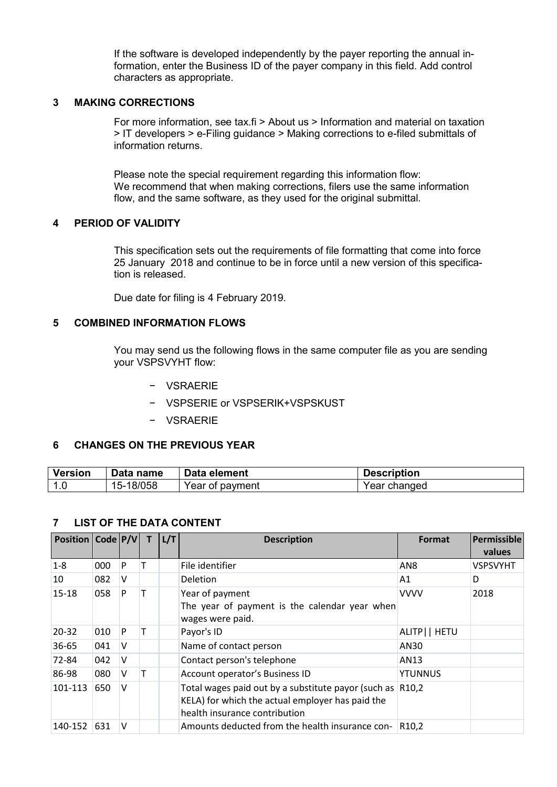If the software is developed independently by the payer reporting the annual information, enter the Business ID of the payer company in this field. Add control characters as appropriate.

#### <span id="page-2-0"></span>**3 MAKING CORRECTIONS**

For more information, see tax.fi > About us > Information and material on taxation > IT developers > e-Filing guidance > Making corrections to e-filed submittals of information returns.

Please note the special requirement regarding this information flow: We recommend that when making corrections, filers use the same information flow, and the same software, as they used for the original submittal.

#### <span id="page-2-1"></span>**4 PERIOD OF VALIDITY**

This specification sets out the requirements of file formatting that come into force 25 January 2018 and continue to be in force until a new version of this specification is released.

Due date for filing is 4 February 2019.

#### <span id="page-2-2"></span>**5 COMBINED INFORMATION FLOWS**

You may send us the following flows in the same computer file as you are sending your VSPSVYHT flow:

- − VSRAERIE
- − VSPSERIE or VSPSERIK+VSPSKUST
- − VSRAERIE

#### <span id="page-2-3"></span>**6 CHANGES ON THE PREVIOUS YEAR**

| <b>Version</b> | Data name | Data element    | <b>Description</b> |
|----------------|-----------|-----------------|--------------------|
|                | 15-18/058 | Year of payment | Year changed       |

#### <span id="page-2-4"></span>**7 LIST OF THE DATA CONTENT**

| Position   Code   P/V |     |   | L/T | <b>Description</b>                                                                                                                             | <b>Format</b>      | <b>Permissible</b><br>values |
|-----------------------|-----|---|-----|------------------------------------------------------------------------------------------------------------------------------------------------|--------------------|------------------------------|
| $1-8$                 | 000 | P |     | File identifier                                                                                                                                | AN <sub>8</sub>    | <b>VSPSVYHT</b>              |
| 10                    | 082 | v |     | <b>Deletion</b>                                                                                                                                | A1                 | D                            |
| $15 - 18$             | 058 | P |     | Year of payment<br>The year of payment is the calendar year when<br>wages were paid.                                                           | <b>VVVV</b>        | 2018                         |
| $20 - 32$             | 010 | P |     | Payor's ID                                                                                                                                     | ALITP     HETU     |                              |
| 36-65                 | 041 | v |     | Name of contact person                                                                                                                         | AN30               |                              |
| 72-84                 | 042 | v |     | Contact person's telephone                                                                                                                     | AN13               |                              |
| 86-98                 | 080 | V |     | Account operator's Business ID                                                                                                                 | <b>YTUNNUS</b>     |                              |
| 101-113               | 650 | V |     | Total wages paid out by a substitute payor (such as R10,2<br>KELA) for which the actual employer has paid the<br>health insurance contribution |                    |                              |
| 140-152               | 631 | v |     | Amounts deducted from the health insurance con-                                                                                                | R <sub>10</sub> ,2 |                              |